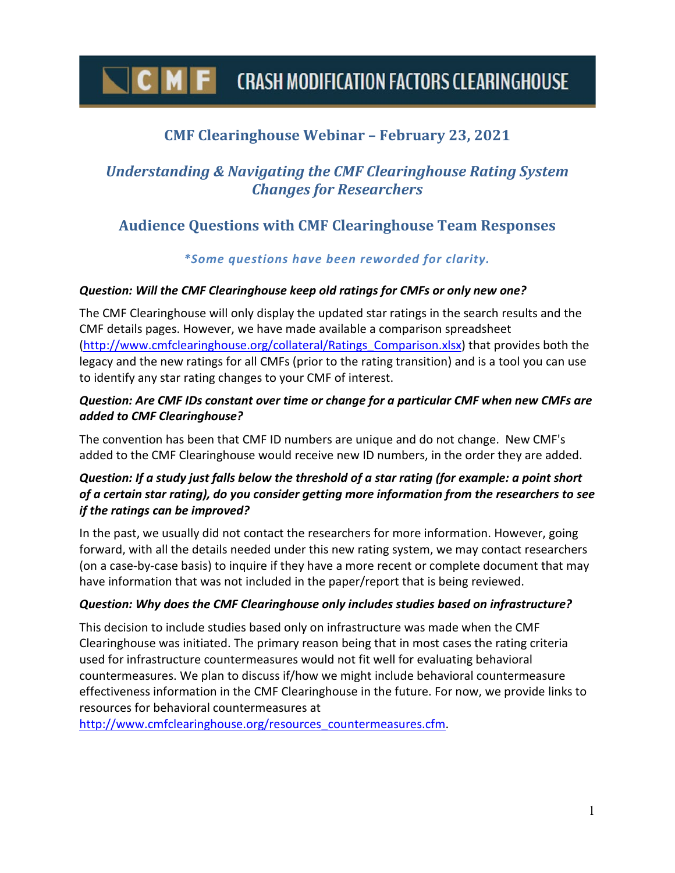# $\mathsf F$  CRASH MODIFICATION FACTORS CLEARINGHOUSE

# **CMF Clearinghouse Webinar – February 23, 2021**

# *Understanding & Navigating the CMF Clearinghouse Rating System Changes for Researchers*

## **Audience Questions with CMF Clearinghouse Team Responses**

## *\*Some questions have been reworded for clarity.*

#### *Question: Will the CMF Clearinghouse keep old ratings for CMFs or only new one?*

The CMF Clearinghouse will only display the updated star ratings in the search results and the CMF details pages. However, we have made available a comparison spreadsheet [\(http://www.cmfclearinghouse.org/collateral/Ratings\\_Comparison.xlsx\)](http://www.cmfclearinghouse.org/collateral/Ratings_Comparison.xlsx) that provides both the legacy and the new ratings for all CMFs (prior to the rating transition) and is a tool you can use to identify any star rating changes to your CMF of interest.

### *Question: Are CMF IDs constant over time or change for a particular CMF when new CMFs are added to CMF Clearinghouse?*

The convention has been that CMF ID numbers are unique and do not change. New CMF's added to the CMF Clearinghouse would receive new ID numbers, in the order they are added.

## *Question: If a study just falls below the threshold of a star rating (for example: a point short of a certain star rating), do you consider getting more information from the researchers to see if the ratings can be improved?*

In the past, we usually did not contact the researchers for more information. However, going forward, with all the details needed under this new rating system, we may contact researchers (on a case-by-case basis) to inquire if they have a more recent or complete document that may have information that was not included in the paper/report that is being reviewed.

#### *Question: Why does the CMF Clearinghouse only includes studies based on infrastructure?*

This decision to include studies based only on infrastructure was made when the CMF Clearinghouse was initiated. The primary reason being that in most cases the rating criteria used for infrastructure countermeasures would not fit well for evaluating behavioral countermeasures. We plan to discuss if/how we might include behavioral countermeasure effectiveness information in the CMF Clearinghouse in the future. For now, we provide links to resources for behavioral countermeasures at

[http://www.cmfclearinghouse.org/resources\\_countermeasures.cfm.](http://www.cmfclearinghouse.org/resources_countermeasures.cfm)